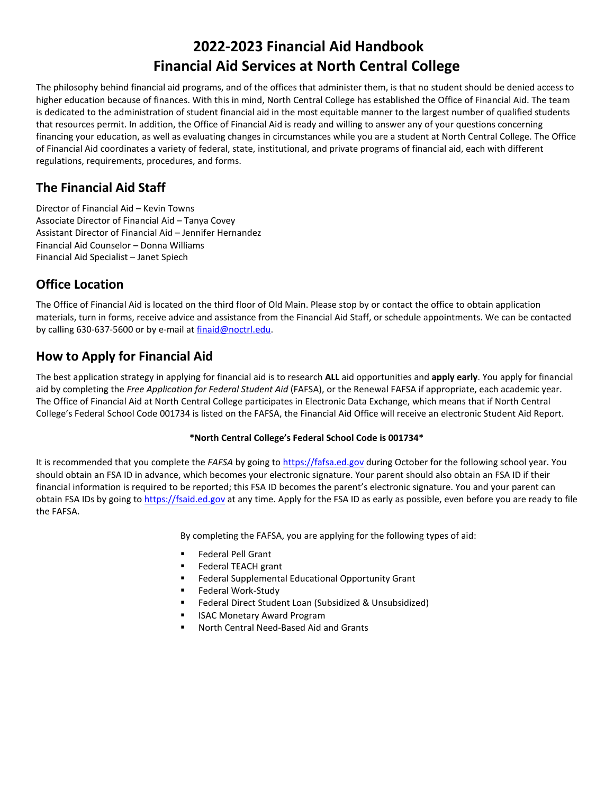# **2022-2023 Financial Aid Handbook Financial Aid Services at North Central College**

The philosophy behind financial aid programs, and of the offices that administer them, is that no student should be denied access to higher education because of finances. With this in mind, North Central College has established the Office of Financial Aid. The team is dedicated to the administration of student financial aid in the most equitable manner to the largest number of qualified students that resources permit. In addition, the Office of Financial Aid is ready and willing to answer any of your questions concerning financing your education, as well as evaluating changes in circumstances while you are a student at North Central College. The Office of Financial Aid coordinates a variety of federal, state, institutional, and private programs of financial aid, each with different regulations, requirements, procedures, and forms.

# **The Financial Aid Staff**

Director of Financial Aid – Kevin Towns Associate Director of Financial Aid – Tanya Covey Assistant Director of Financial Aid – Jennifer Hernandez Financial Aid Counselor – Donna Williams Financial Aid Specialist – Janet Spiech

# **Office Location**

The Office of Financial Aid is located on the third floor of Old Main. Please stop by or contact the office to obtain application materials, turn in forms, receive advice and assistance from the Financial Aid Staff, or schedule appointments. We can be contacted by calling 630-637-5600 or by e-mail at finaid@noctrl.edu.

# **How to Apply for Financial Aid**

The best application strategy in applying for financial aid is to research **ALL** aid opportunities and **apply early**. You apply for financial aid by completing the *Free Application for Federal Student Aid* (FAFSA), or the Renewal FAFSA if appropriate, each academic year. The Office of Financial Aid at North Central College participates in Electronic Data Exchange, which means that if North Central College's Federal School Code 001734 is listed on the FAFSA, the Financial Aid Office will receive an electronic Student Aid Report.

#### **\*North Central College's Federal School Code is 001734\***

It is recommended that you complete the *FAFSA* by going to [https://fafsa.ed.gov](https://fafsa.ed.gov/) during October for the following school year. You should obtain an FSA ID in advance, which becomes your electronic signature. Your parent should also obtain an FSA ID if their financial information is required to be reported; this FSA ID becomes the parent's electronic signature. You and your parent can obtain FSA IDs by going to [https://fsaid.ed.gov](https://fsaid.ed.gov/) at any time. Apply for the FSA ID as early as possible, even before you are ready to file the FAFSA.

By completing the FAFSA, you are applying for the following types of aid:

- Federal Pell Grant
- Federal TEACH grant
- Federal Supplemental Educational Opportunity Grant
- Federal Work-Study
- Federal Direct Student Loan (Subsidized & Unsubsidized)
- **ISAC Monetary Award Program**
- North Central Need-Based Aid and Grants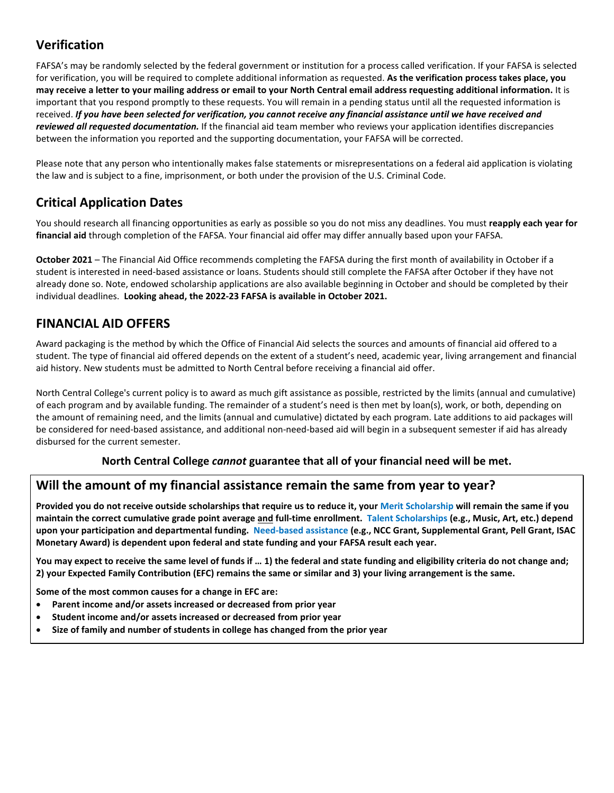# **Verification**

FAFSA's may be randomly selected by the federal government or institution for a process called verification. If your FAFSA is selected for verification, you will be required to complete additional information as requested. **As the verification process takes place, you may receive a letter to your mailing address or email to your North Central email address requesting additional information.** It is important that you respond promptly to these requests. You will remain in a pending status until all the requested information is received. *If you have been selected for verification, you cannot receive any financial assistance until we have received and reviewed all requested documentation.* If the financial aid team member who reviews your application identifies discrepancies between the information you reported and the supporting documentation, your FAFSA will be corrected.

Please note that any person who intentionally makes false statements or misrepresentations on a federal aid application is violating the law and is subject to a fine, imprisonment, or both under the provision of the U.S. Criminal Code.

# **Critical Application Dates**

You should research all financing opportunities as early as possible so you do not miss any deadlines. You must **reapply each year for financial aid** through completion of the FAFSA. Your financial aid offer may differ annually based upon your FAFSA.

**October 2021** – The Financial Aid Office recommends completing the FAFSA during the first month of availability in October if a student is interested in need-based assistance or loans. Students should still complete the FAFSA after October if they have not already done so. Note, endowed scholarship applications are also available beginning in October and should be completed by their individual deadlines. **Looking ahead, the 2022-23 FAFSA is available in October 2021.**

# **FINANCIAL AID OFFERS**

Award packaging is the method by which the Office of Financial Aid selects the sources and amounts of financial aid offered to a student. The type of financial aid offered depends on the extent of a student's need, academic year, living arrangement and financial aid history. New students must be admitted to North Central before receiving a financial aid offer.

North Central College's current policy is to award as much gift assistance as possible, restricted by the limits (annual and cumulative) of each program and by available funding. The remainder of a student's need is then met by loan(s), work, or both, depending on the amount of remaining need, and the limits (annual and cumulative) dictated by each program. Late additions to aid packages will be considered for need-based assistance, and additional non-need-based aid will begin in a subsequent semester if aid has already disbursed for the current semester.

## **North Central College** *cannot* **guarantee that all of your financial need will be met.**

## **Will the amount of my financial assistance remain the same from year to year?**

**Provided you do not receive outside scholarships that require us to reduce it, your Merit Scholarship will remain the same if you maintain the correct cumulative grade point average and full-time enrollment. Talent Scholarships (e.g., Music, Art, etc.) depend upon your participation and departmental funding. Need-based assistance (e.g., NCC Grant, Supplemental Grant, Pell Grant, ISAC Monetary Award) is dependent upon federal and state funding and your FAFSA result each year.** 

**You may expect to receive the same level of funds if … 1) the federal and state funding and eligibility criteria do not change and; 2) your Expected Family Contribution (EFC) remains the same or similar and 3) your living arrangement is the same.** 

**Some of the most common causes for a change in EFC are:**

- **Parent income and/or assets increased or decreased from prior year**
- **Student income and/or assets increased or decreased from prior year**
- **Size of family and number of students in college has changed from the prior year**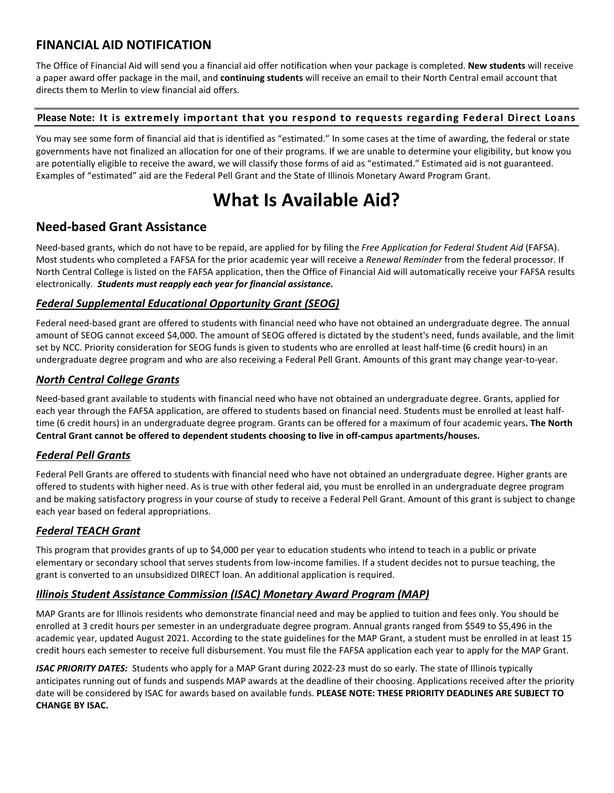# **FINANCIAL AID NOTIFICATION**

The Office of Financial Aid will send you a financial aid offer notification when your package is completed. **New students** will receive a paper award offer package in the mail, and **continuing students** will receive an email to their North Central email account that directs them to Merlin to view financial aid offers.

#### **Please Note: It is extremely important that you respond to requests regarding Federal Direct Loans**

You may see some form of financial aid that is identified as "estimated." In some cases at the time of awarding, the federal or state governments have not finalized an allocation for one of their programs. If we are unable to determine your eligibility, but know you are potentially eligible to receive the award, we will classify those forms of aid as "estimated." Estimated aid is not guaranteed. Examples of "estimated" aid are the Federal Pell Grant and the State of Illinois Monetary Award Program Grant.

# **What Is Available Aid?**

## **Need-based Grant Assistance**

Need-based grants, which do not have to be repaid, are applied for by filing the *Free Application for Federal Student Aid* (FAFSA). Most students who completed a FAFSA for the prior academic year will receive a *Renewal Reminder* from the federal processor. If North Central College is listed on the FAFSA application, then the Office of Financial Aid will automatically receive your FAFSA results electronically. *Students must reapply each year for financial assistance.*

#### *Federal Supplemental Educational Opportunity Grant (SEOG)*

Federal need-based grant are offered to students with financial need who have not obtained an undergraduate degree. The annual amount of SEOG cannot exceed \$4,000. The amount of SEOG offered is dictated by the student's need, funds available, and the limit set by NCC. Priority consideration for SEOG funds is given to students who are enrolled at least half-time (6 credit hours) in an undergraduate degree program and who are also receiving a Federal Pell Grant. Amounts of this grant may change year-to-year.

#### *North Central College Grants*

Need-based grant available to students with financial need who have not obtained an undergraduate degree. Grants, applied for each year through the FAFSA application, are offered to students based on financial need. Students must be enrolled at least halftime (6 credit hours) in an undergraduate degree program. Grants can be offered for a maximum of four academic years**. The North Central Grant cannot be offered to dependent students choosing to live in off-campus apartments/houses.**

## *Federal Pell Grants*

Federal Pell Grants are offered to students with financial need who have not obtained an undergraduate degree. Higher grants are offered to students with higher need. As is true with other federal aid, you must be enrolled in an undergraduate degree program and be making satisfactory progress in your course of study to receive a Federal Pell Grant. Amount of this grant is subject to change each year based on federal appropriations.

## *Federal TEACH Grant*

This program that provides grants of up to \$4,000 per year to education students who intend to teach in a public or private elementary or secondary school that serves students from low-income families. If a student decides not to pursue teaching, the grant is converted to an unsubsidized DIRECT loan. An additional application is required.

#### *Illinois Student Assistance Commission (ISAC) Monetary Award Program (MAP)*

MAP Grants are for Illinois residents who demonstrate financial need and may be applied to tuition and fees only. You should be enrolled at 3 credit hours per semester in an undergraduate degree program. Annual grants ranged from \$549 to \$5,496 in the academic year, updated August 2021. According to the state guidelines for the MAP Grant, a student must be enrolled in at least 15 credit hours each semester to receive full disbursement. You must file the FAFSA application each year to apply for the MAP Grant.

*ISAC PRIORITY DATES:* Students who apply for a MAP Grant during 2022-23 must do so early. The state of Illinois typically anticipates running out of funds and suspends MAP awards at the deadline of their choosing. Applications received after the priority date will be considered by ISAC for awards based on available funds. **PLEASE NOTE: THESE PRIORITY DEADLINES ARE SUBJECT TO CHANGE BY ISAC.**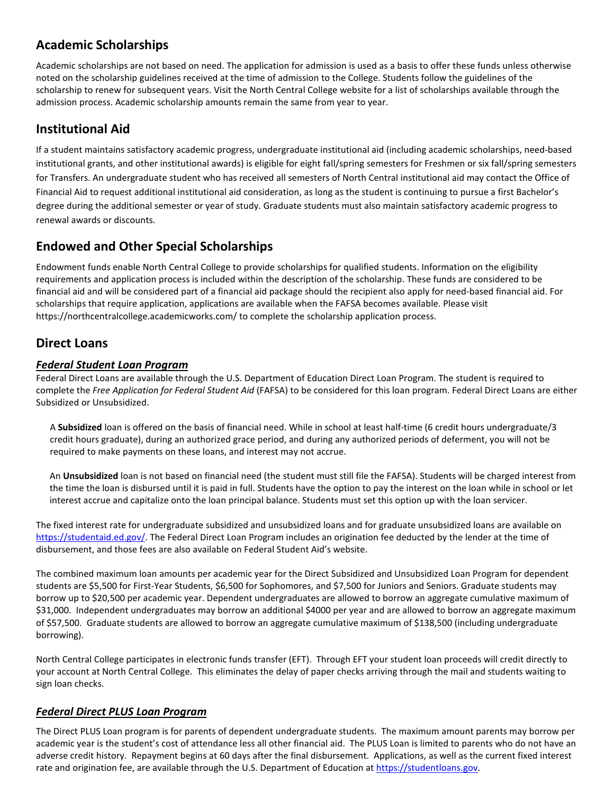# **Academic Scholarships**

Academic scholarships are not based on need. The application for admission is used as a basis to offer these funds unless otherwise noted on the scholarship guidelines received at the time of admission to the College. Students follow the guidelines of the scholarship to renew for subsequent years. Visit the North Central College website for a list of scholarships available through the admission process. Academic scholarship amounts remain the same from year to year.

## **Institutional Aid**

If a student maintains satisfactory academic progress, undergraduate institutional aid (including academic scholarships, need-based institutional grants, and other institutional awards) is eligible for eight fall/spring semesters for Freshmen or six fall/spring semesters for Transfers. An undergraduate student who has received all semesters of North Central institutional aid may contact the Office of Financial Aid to request additional institutional aid consideration, as long as the student is continuing to pursue a first Bachelor's degree during the additional semester or year of study. Graduate students must also maintain satisfactory academic progress to renewal awards or discounts.

# **Endowed and Other Special Scholarships**

Endowment funds enable North Central College to provide scholarships for qualified students. Information on the eligibility requirements and application process is included within the description of the scholarship. These funds are considered to be financial aid and will be considered part of a financial aid package should the recipient also apply for need-based financial aid. For scholarships that require application, applications are available when the FAFSA becomes available. Please visit https://northcentralcollege.academicworks.com/ to complete the scholarship application process.

## **Direct Loans**

#### *Federal Student Loan Program*

Federal Direct Loans are available through the U.S. Department of Education Direct Loan Program. The student is required to complete the *Free Application for Federal Student Aid* (FAFSA) to be considered for this loan program. Federal Direct Loans are either Subsidized or Unsubsidized.

A **Subsidized** loan is offered on the basis of financial need. While in school at least half-time (6 credit hours undergraduate/3 credit hours graduate), during an authorized grace period, and during any authorized periods of deferment, you will not be required to make payments on these loans, and interest may not accrue.

An **Unsubsidized** loan is not based on financial need (the student must still file the FAFSA). Students will be charged interest from the time the loan is disbursed until it is paid in full. Students have the option to pay the interest on the loan while in school or let interest accrue and capitalize onto the loan principal balance. Students must set this option up with the loan servicer.

The fixed interest rate for undergraduate subsidized and unsubsidized loans and for graduate unsubsidized loans are available on [https://studentaid.ed.gov/.](https://studentaid.ed.gov/) The Federal Direct Loan Program includes an origination fee deducted by the lender at the time of disbursement, and those fees are also available on Federal Student Aid's website.

The combined maximum loan amounts per academic year for the Direct Subsidized and Unsubsidized Loan Program for dependent students are \$5,500 for First-Year Students, \$6,500 for Sophomores, and \$7,500 for Juniors and Seniors. Graduate students may borrow up to \$20,500 per academic year. Dependent undergraduates are allowed to borrow an aggregate cumulative maximum of \$31,000. Independent undergraduates may borrow an additional \$4000 per year and are allowed to borrow an aggregate maximum of \$57,500. Graduate students are allowed to borrow an aggregate cumulative maximum of \$138,500 (including undergraduate borrowing).

North Central College participates in electronic funds transfer (EFT). Through EFT your student loan proceeds will credit directly to your account at North Central College. This eliminates the delay of paper checks arriving through the mail and students waiting to sign loan checks.

## *Federal Direct PLUS Loan Program*

The Direct PLUS Loan program is for parents of dependent undergraduate students. The maximum amount parents may borrow per academic year is the student's cost of attendance less all other financial aid. The PLUS Loan is limited to parents who do not have an adverse credit history. Repayment begins at 60 days after the final disbursement. Applications, as well as the current fixed interest rate and origination fee, are available through the U.S. Department of Education a[t https://studentloans.gov.](https://studentloans.gov/)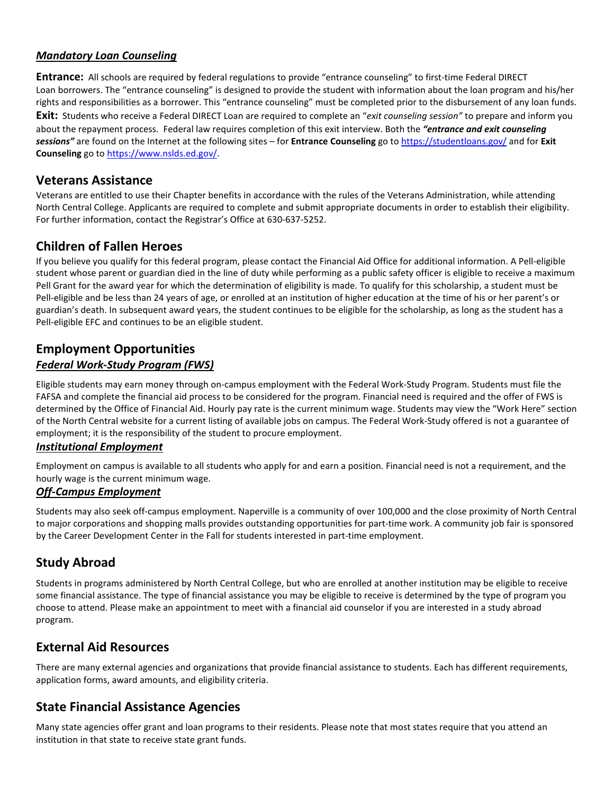#### *Mandatory Loan Counseling*

**Entrance:** All schools are required by federal regulations to provide "entrance counseling" to first-time Federal DIRECT Loan borrowers. The "entrance counseling" is designed to provide the student with information about the loan program and his/her rights and responsibilities as a borrower. This "entrance counseling" must be completed prior to the disbursement of any loan funds. **Exit:** Students who receive a Federal DIRECT Loan are required to complete an "*exit counseling session"* to prepare and inform you about the repayment process. Federal law requires completion of this exit interview. Both the *"entrance and exit counseling sessions"* are found on the Internet at the following sites – for **Entrance Counseling** go t[o https://studentloans.gov/](https://studentloans.gov/) and for **Exit Counseling** go to [https://www.nslds.ed.gov/.](https://www.nslds.ed.gov/)

#### **Veterans Assistance**

Veterans are entitled to use their Chapter benefits in accordance with the rules of the Veterans Administration, while attending North Central College. Applicants are required to complete and submit appropriate documents in order to establish their eligibility. For further information, contact the Registrar's Office at 630-637-5252.

## **Children of Fallen Heroes**

If you believe you qualify for this federal program, please contact the Financial Aid Office for additional information. A Pell-eligible student whose parent or guardian died in the line of duty while performing as a public safety officer is eligible to receive a maximum Pell Grant for the award year for which the determination of eligibility is made. To qualify for this scholarship, a student must be Pell-eligible and be less than 24 years of age, or enrolled at an institution of higher education at the time of his or her parent's or guardian's death. In subsequent award years, the student continues to be eligible for the scholarship, as long as the student has a Pell-eligible EFC and continues to be an eligible student.

## **Employment Opportunities** *Federal Work-Study Program (FWS)*

Eligible students may earn money through on-campus employment with the Federal Work-Study Program. Students must file the FAFSA and complete the financial aid process to be considered for the program. Financial need is required and the offer of FWS is determined by the Office of Financial Aid. Hourly pay rate is the current minimum wage. Students may view the "Work Here" section of the North Central website for a current listing of available jobs on campus. The Federal Work-Study offered is not a guarantee of employment; it is the responsibility of the student to procure employment.

#### *Institutional Employment*

Employment on campus is available to all students who apply for and earn a position. Financial need is not a requirement, and the hourly wage is the current minimum wage.

#### *Off-Campus Employment*

Students may also seek off-campus employment. Naperville is a community of over 100,000 and the close proximity of North Central to major corporations and shopping malls provides outstanding opportunities for part-time work. A community job fair is sponsored by the Career Development Center in the Fall for students interested in part-time employment.

## **Study Abroad**

Students in programs administered by North Central College, but who are enrolled at another institution may be eligible to receive some financial assistance. The type of financial assistance you may be eligible to receive is determined by the type of program you choose to attend. Please make an appointment to meet with a financial aid counselor if you are interested in a study abroad program.

#### **External Aid Resources**

There are many external agencies and organizations that provide financial assistance to students. Each has different requirements, application forms, award amounts, and eligibility criteria.

## **State Financial Assistance Agencies**

Many state agencies offer grant and loan programs to their residents. Please note that most states require that you attend an institution in that state to receive state grant funds.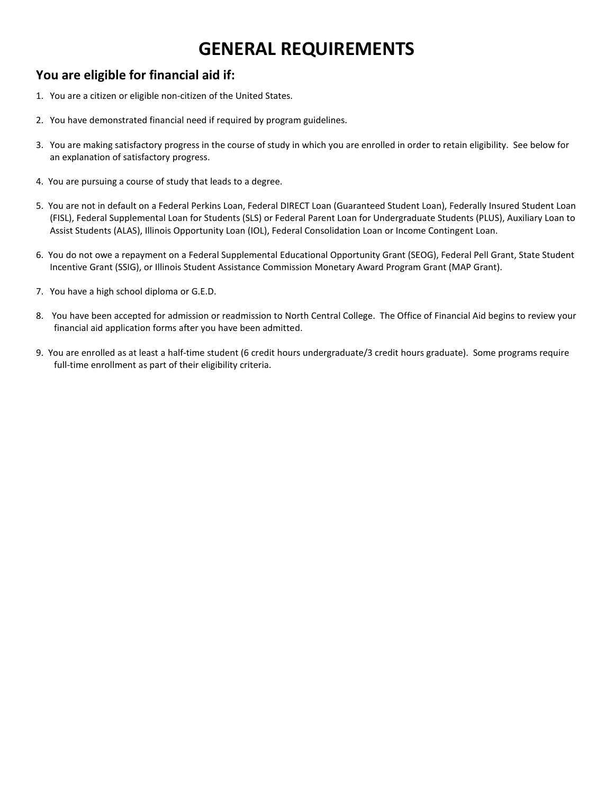# **GENERAL REQUIREMENTS**

# **You are eligible for financial aid if:**

- 1. You are a citizen or eligible non-citizen of the United States.
- 2. You have demonstrated financial need if required by program guidelines.
- 3. You are making satisfactory progress in the course of study in which you are enrolled in order to retain eligibility. See below for an explanation of satisfactory progress.
- 4. You are pursuing a course of study that leads to a degree.
- 5. You are not in default on a Federal Perkins Loan, Federal DIRECT Loan (Guaranteed Student Loan), Federally Insured Student Loan (FISL), Federal Supplemental Loan for Students (SLS) or Federal Parent Loan for Undergraduate Students (PLUS), Auxiliary Loan to Assist Students (ALAS), Illinois Opportunity Loan (IOL), Federal Consolidation Loan or Income Contingent Loan.
- 6. You do not owe a repayment on a Federal Supplemental Educational Opportunity Grant (SEOG), Federal Pell Grant, State Student Incentive Grant (SSIG), or Illinois Student Assistance Commission Monetary Award Program Grant (MAP Grant).
- 7. You have a high school diploma or G.E.D.
- 8. You have been accepted for admission or readmission to North Central College. The Office of Financial Aid begins to review your financial aid application forms after you have been admitted.
- 9. You are enrolled as at least a half-time student (6 credit hours undergraduate/3 credit hours graduate). Some programs require full-time enrollment as part of their eligibility criteria.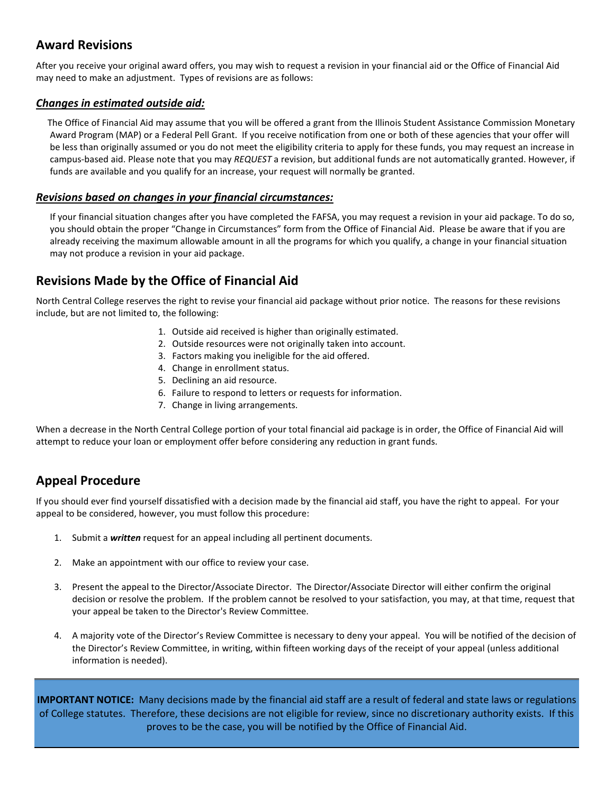## **Award Revisions**

After you receive your original award offers, you may wish to request a revision in your financial aid or the Office of Financial Aid may need to make an adjustment. Types of revisions are as follows:

#### *Changes in estimated outside aid:*

 The Office of Financial Aid may assume that you will be offered a grant from the Illinois Student Assistance Commission Monetary Award Program (MAP) or a Federal Pell Grant. If you receive notification from one or both of these agencies that your offer will be less than originally assumed or you do not meet the eligibility criteria to apply for these funds, you may request an increase in campus-based aid. Please note that you may *REQUEST* a revision, but additional funds are not automatically granted. However, if funds are available and you qualify for an increase, your request will normally be granted.

#### *Revisions based on changes in your financial circumstances:*

If your financial situation changes after you have completed the FAFSA, you may request a revision in your aid package. To do so, you should obtain the proper "Change in Circumstances" form from the Office of Financial Aid. Please be aware that if you are already receiving the maximum allowable amount in all the programs for which you qualify, a change in your financial situation may not produce a revision in your aid package.

## **Revisions Made by the Office of Financial Aid**

North Central College reserves the right to revise your financial aid package without prior notice. The reasons for these revisions include, but are not limited to, the following:

- 1. Outside aid received is higher than originally estimated.
- 2. Outside resources were not originally taken into account.
- 3. Factors making you ineligible for the aid offered.
- 4. Change in enrollment status.
- 5. Declining an aid resource.
- 6. Failure to respond to letters or requests for information.
- 7. Change in living arrangements.

When a decrease in the North Central College portion of your total financial aid package is in order, the Office of Financial Aid will attempt to reduce your loan or employment offer before considering any reduction in grant funds.

# **Appeal Procedure**

If you should ever find yourself dissatisfied with a decision made by the financial aid staff, you have the right to appeal. For your appeal to be considered, however, you must follow this procedure:

- 1. Submit a *written* request for an appeal including all pertinent documents.
- 2. Make an appointment with our office to review your case.
- 3. Present the appeal to the Director/Associate Director. The Director/Associate Director will either confirm the original decision or resolve the problem. If the problem cannot be resolved to your satisfaction, you may, at that time, request that your appeal be taken to the Director's Review Committee.
- 4. A majority vote of the Director's Review Committee is necessary to deny your appeal. You will be notified of the decision of the Director's Review Committee, in writing, within fifteen working days of the receipt of your appeal (unless additional information is needed).

**IMPORTANT NOTICE:** Many decisions made by the financial aid staff are a result of federal and state laws or regulations of College statutes. Therefore, these decisions are not eligible for review, since no discretionary authority exists. If this proves to be the case, you will be notified by the Office of Financial Aid.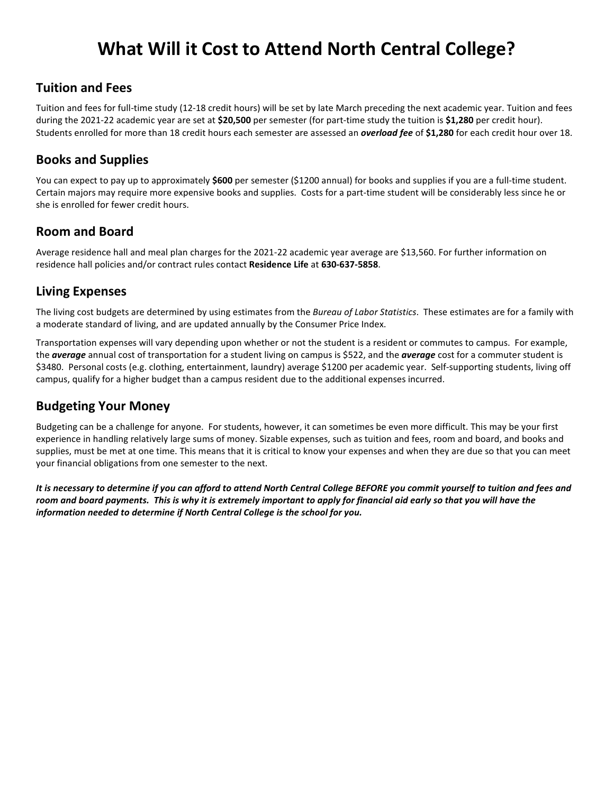# **What Will it Cost to Attend North Central College?**

## **Tuition and Fees**

Tuition and fees for full-time study (12-18 credit hours) will be set by late March preceding the next academic year. Tuition and fees during the 2021-22 academic year are set at **\$20,500** per semester (for part-time study the tuition is **\$1,280** per credit hour). Students enrolled for more than 18 credit hours each semester are assessed an *overload fee* of **\$1,280** for each credit hour over 18.

## **Books and Supplies**

You can expect to pay up to approximately **\$600** per semester (\$1200 annual) for books and supplies if you are a full-time student. Certain majors may require more expensive books and supplies. Costs for a part-time student will be considerably less since he or she is enrolled for fewer credit hours.

## **Room and Board**

Average residence hall and meal plan charges for the 2021-22 academic year average are \$13,560. For further information on residence hall policies and/or contract rules contact **Residence Life** at **630-637-5858**.

# **Living Expenses**

The living cost budgets are determined by using estimates from the *Bureau of Labor Statistics*. These estimates are for a family with a moderate standard of living, and are updated annually by the Consumer Price Index.

Transportation expenses will vary depending upon whether or not the student is a resident or commutes to campus. For example, the *average* annual cost of transportation for a student living on campus is \$522, and the *average* cost for a commuter student is \$3480. Personal costs (e.g. clothing, entertainment, laundry) average \$1200 per academic year. Self-supporting students, living off campus, qualify for a higher budget than a campus resident due to the additional expenses incurred.

# **Budgeting Your Money**

Budgeting can be a challenge for anyone. For students, however, it can sometimes be even more difficult. This may be your first experience in handling relatively large sums of money. Sizable expenses, such as tuition and fees, room and board, and books and supplies, must be met at one time. This means that it is critical to know your expenses and when they are due so that you can meet your financial obligations from one semester to the next.

*It is necessary to determine if you can afford to attend North Central College BEFORE you commit yourself to tuition and fees and room and board payments. This is why it is extremely important to apply for financial aid early so that you will have the information needed to determine if North Central College is the school for you.*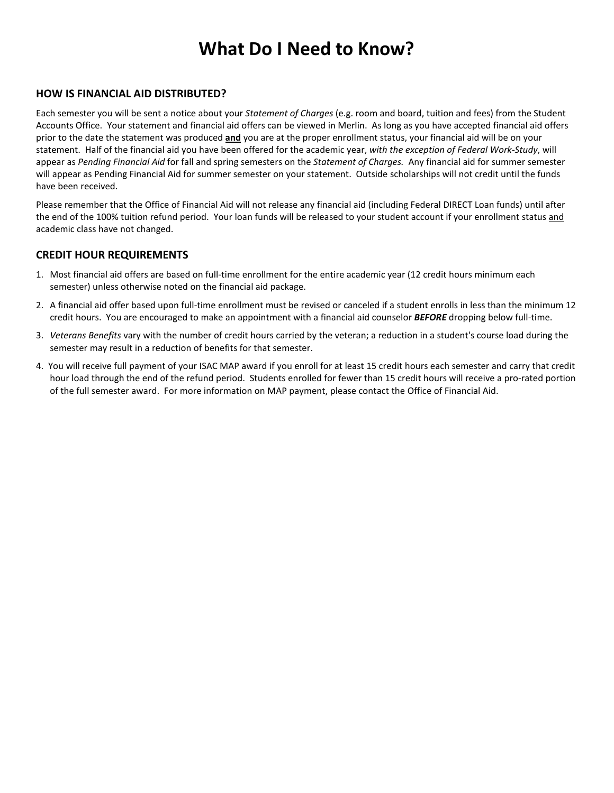# **What Do I Need to Know?**

#### **HOW IS FINANCIAL AID DISTRIBUTED?**

Each semester you will be sent a notice about your *Statement of Charges* (e.g. room and board, tuition and fees) from the Student Accounts Office. Your statement and financial aid offers can be viewed in Merlin. As long as you have accepted financial aid offers prior to the date the statement was produced **and** you are at the proper enrollment status, your financial aid will be on your statement. Half of the financial aid you have been offered for the academic year, *with the exception of Federal Work-Study*, will appear as *Pending Financial Aid* for fall and spring semesters on the *Statement of Charges.* Any financial aid for summer semester will appear as Pending Financial Aid for summer semester on your statement. Outside scholarships will not credit until the funds have been received.

Please remember that the Office of Financial Aid will not release any financial aid (including Federal DIRECT Loan funds) until after the end of the 100% tuition refund period. Your loan funds will be released to your student account if your enrollment status and academic class have not changed.

#### **CREDIT HOUR REQUIREMENTS**

- 1. Most financial aid offers are based on full-time enrollment for the entire academic year (12 credit hours minimum each semester) unless otherwise noted on the financial aid package.
- 2. A financial aid offer based upon full-time enrollment must be revised or canceled if a student enrolls in less than the minimum 12 credit hours. You are encouraged to make an appointment with a financial aid counselor *BEFORE* dropping below full-time.
- 3. *Veterans Benefits* vary with the number of credit hours carried by the veteran; a reduction in a student's course load during the semester may result in a reduction of benefits for that semester.
- 4. You will receive full payment of your ISAC MAP award if you enroll for at least 15 credit hours each semester and carry that credit hour load through the end of the refund period. Students enrolled for fewer than 15 credit hours will receive a pro-rated portion of the full semester award. For more information on MAP payment, please contact the Office of Financial Aid.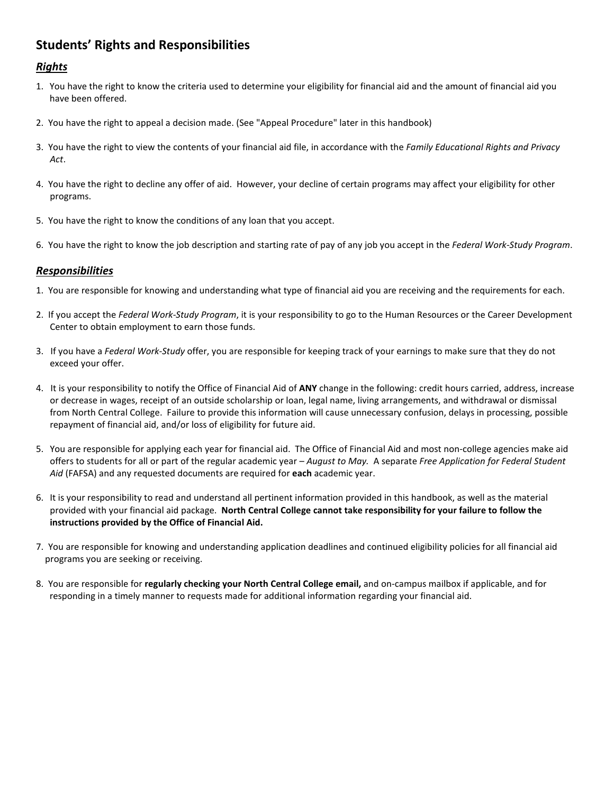# **Students' Rights and Responsibilities**

#### *Rights*

- 1. You have the right to know the criteria used to determine your eligibility for financial aid and the amount of financial aid you have been offered.
- 2. You have the right to appeal a decision made. (See "Appeal Procedure" later in this handbook)
- 3. You have the right to view the contents of your financial aid file, in accordance with the *Family Educational Rights and Privacy Act*.
- 4. You have the right to decline any offer of aid. However, your decline of certain programs may affect your eligibility for other programs.
- 5. You have the right to know the conditions of any loan that you accept.
- 6. You have the right to know the job description and starting rate of pay of any job you accept in the *Federal Work-Study Program*.

#### *Responsibilities*

- 1. You are responsible for knowing and understanding what type of financial aid you are receiving and the requirements for each.
- 2. If you accept the *Federal Work-Study Program*, it is your responsibility to go to the Human Resources or the Career Development Center to obtain employment to earn those funds.
- 3. If you have a *Federal Work-Study* offer, you are responsible for keeping track of your earnings to make sure that they do not exceed your offer.
- 4. It is your responsibility to notify the Office of Financial Aid of **ANY** change in the following: credit hours carried, address, increase or decrease in wages, receipt of an outside scholarship or loan, legal name, living arrangements, and withdrawal or dismissal from North Central College. Failure to provide this information will cause unnecessary confusion, delays in processing, possible repayment of financial aid, and/or loss of eligibility for future aid.
- 5. You are responsible for applying each year for financial aid. The Office of Financial Aid and most non-college agencies make aid offers to students for all or part of the regular academic year – *August to May.* A separate *Free Application for Federal Student Aid* (FAFSA) and any requested documents are required for **each** academic year.
- 6. It is your responsibility to read and understand all pertinent information provided in this handbook, as well as the material provided with your financial aid package. **North Central College cannot take responsibility for your failure to follow the instructions provided by the Office of Financial Aid.**
- 7. You are responsible for knowing and understanding application deadlines and continued eligibility policies for all financial aid programs you are seeking or receiving.
- 8. You are responsible for **regularly checking your North Central College email,** and on-campus mailbox if applicable, and for responding in a timely manner to requests made for additional information regarding your financial aid.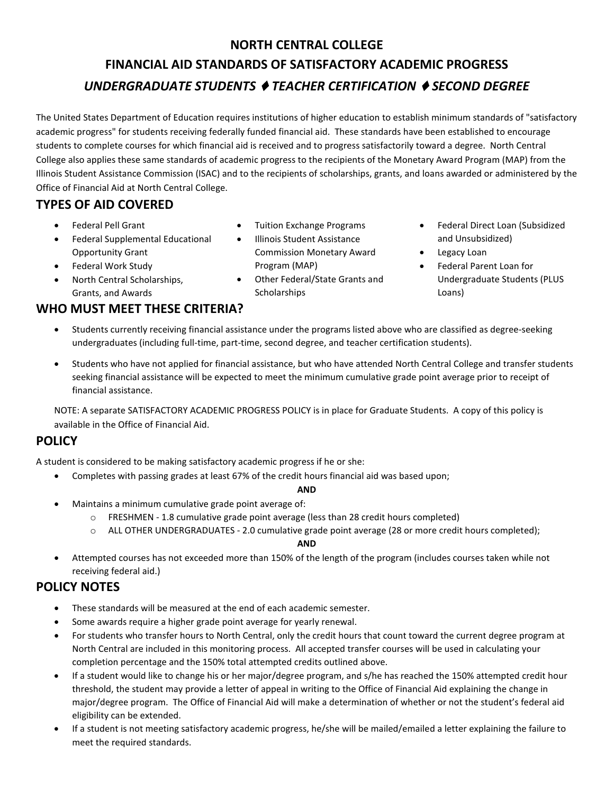# **NORTH CENTRAL COLLEGE FINANCIAL AID STANDARDS OF SATISFACTORY ACADEMIC PROGRESS** *UNDERGRADUATE STUDENTS* ♦ *TEACHER CERTIFICATION* ♦ *SECOND DEGREE*

The United States Department of Education requires institutions of higher education to establish minimum standards of "satisfactory academic progress" for students receiving federally funded financial aid. These standards have been established to encourage students to complete courses for which financial aid is received and to progress satisfactorily toward a degree. North Central College also applies these same standards of academic progress to the recipients of the Monetary Award Program (MAP) from the Illinois Student Assistance Commission (ISAC) and to the recipients of scholarships, grants, and loans awarded or administered by the Office of Financial Aid at North Central College.

# **TYPES OF AID COVERED**

- Federal Pell Grant
- Federal Supplemental Educational Opportunity Grant
- Federal Work Study
- North Central Scholarships, Grants, and Awards

# **WHO MUST MEET THESE CRITERIA?**

- Tuition Exchange Programs
- Illinois Student Assistance Commission Monetary Award Program (MAP)
- Other Federal/State Grants and Scholarships
- Federal Direct Loan (Subsidized and Unsubsidized)
- Legacy Loan
- Federal Parent Loan for Undergraduate Students (PLUS Loans)
- Students currently receiving financial assistance under the programs listed above who are classified as degree-seeking undergraduates (including full-time, part-time, second degree, and teacher certification students).
- Students who have not applied for financial assistance, but who have attended North Central College and transfer students seeking financial assistance will be expected to meet the minimum cumulative grade point average prior to receipt of financial assistance.

NOTE: A separate SATISFACTORY ACADEMIC PROGRESS POLICY is in place for Graduate Students. A copy of this policy is available in the Office of Financial Aid.

# **POLICY**

A student is considered to be making satisfactory academic progress if he or she:

• Completes with passing grades at least 67% of the credit hours financial aid was based upon;

**AND**

- Maintains a minimum cumulative grade point average of:
	- $\circ$  FRESHMEN 1.8 cumulative grade point average (less than 28 credit hours completed)
	- o ALL OTHER UNDERGRADUATES 2.0 cumulative grade point average (28 or more credit hours completed);

#### **AND**

• Attempted courses has not exceeded more than 150% of the length of the program (includes courses taken while not receiving federal aid.)

# **POLICY NOTES**

- These standards will be measured at the end of each academic semester.
- Some awards require a higher grade point average for yearly renewal.
- For students who transfer hours to North Central, only the credit hours that count toward the current degree program at North Central are included in this monitoring process. All accepted transfer courses will be used in calculating your completion percentage and the 150% total attempted credits outlined above.
- If a student would like to change his or her major/degree program, and s/he has reached the 150% attempted credit hour threshold, the student may provide a letter of appeal in writing to the Office of Financial Aid explaining the change in major/degree program. The Office of Financial Aid will make a determination of whether or not the student's federal aid eligibility can be extended.
- If a student is not meeting satisfactory academic progress, he/she will be mailed/emailed a letter explaining the failure to meet the required standards.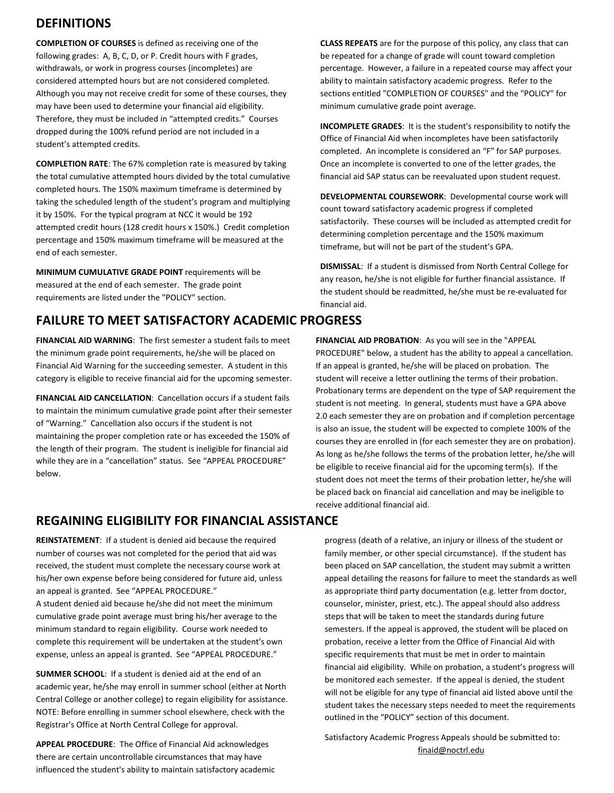## **DEFINITIONS**

**COMPLETION OF COURSES** is defined as receiving one of the following grades: A, B, C, D, or P. Credit hours with F grades, withdrawals, or work in progress courses (incompletes) are considered attempted hours but are not considered completed. Although you may not receive credit for some of these courses, they may have been used to determine your financial aid eligibility. Therefore, they must be included in "attempted credits." Courses dropped during the 100% refund period are not included in a student's attempted credits.

**COMPLETION RATE**: The 67% completion rate is measured by taking the total cumulative attempted hours divided by the total cumulative completed hours. The 150% maximum timeframe is determined by taking the scheduled length of the student's program and multiplying it by 150%. For the typical program at NCC it would be 192 attempted credit hours (128 credit hours x 150%.) Credit completion percentage and 150% maximum timeframe will be measured at the end of each semester.

**MINIMUM CUMULATIVE GRADE POINT** requirements will be measured at the end of each semester. The grade point requirements are listed under the "POLICY" section.

# **FAILURE TO MEET SATISFACTORY ACADEMIC PROGRESS**

**FINANCIAL AID WARNING**: The first semester a student fails to meet the minimum grade point requirements, he/she will be placed on Financial Aid Warning for the succeeding semester. A student in this category is eligible to receive financial aid for the upcoming semester.

**FINANCIAL AID CANCELLATION**: Cancellation occurs if a student fails to maintain the minimum cumulative grade point after their semester of "Warning." Cancellation also occurs if the student is not maintaining the proper completion rate or has exceeded the 150% of the length of their program. The student is ineligible for financial aid while they are in a "cancellation" status. See "APPEAL PROCEDURE" below.

**CLASS REPEATS** are for the purpose of this policy, any class that can be repeated for a change of grade will count toward completion percentage. However, a failure in a repeated course may affect your ability to maintain satisfactory academic progress. Refer to the sections entitled "COMPLETION OF COURSES" and the "POLICY" for minimum cumulative grade point average.

**INCOMPLETE GRADES**: It is the student's responsibility to notify the Office of Financial Aid when incompletes have been satisfactorily completed. An incomplete is considered an "F" for SAP purposes. Once an incomplete is converted to one of the letter grades, the financial aid SAP status can be reevaluated upon student request.

**DEVELOPMENTAL COURSEWORK**: Developmental course work will count toward satisfactory academic progress if completed satisfactorily. These courses will be included as attempted credit for determining completion percentage and the 150% maximum timeframe, but will not be part of the student's GPA.

**DISMISSAL**: If a student is dismissed from North Central College for any reason, he/she is not eligible for further financial assistance. If the student should be readmitted, he/she must be re-evaluated for financial aid.

**FINANCIAL AID PROBATION**: As you will see in the "APPEAL PROCEDURE" below, a student has the ability to appeal a cancellation. If an appeal is granted, he/she will be placed on probation. The student will receive a letter outlining the terms of their probation. Probationary terms are dependent on the type of SAP requirement the student is not meeting. In general, students must have a GPA above 2.0 each semester they are on probation and if completion percentage is also an issue, the student will be expected to complete 100% of the courses they are enrolled in (for each semester they are on probation). As long as he/she follows the terms of the probation letter, he/she will be eligible to receive financial aid for the upcoming term(s). If the student does not meet the terms of their probation letter, he/she will be placed back on financial aid cancellation and may be ineligible to receive additional financial aid.

## **REGAINING ELIGIBILITY FOR FINANCIAL ASSISTANCE**

**REINSTATEMENT**: If a student is denied aid because the required number of courses was not completed for the period that aid was received, the student must complete the necessary course work at his/her own expense before being considered for future aid, unless an appeal is granted. See "APPEAL PROCEDURE."

A student denied aid because he/she did not meet the minimum cumulative grade point average must bring his/her average to the minimum standard to regain eligibility. Course work needed to complete this requirement will be undertaken at the student's own expense, unless an appeal is granted. See "APPEAL PROCEDURE."

**SUMMER SCHOOL**: If a student is denied aid at the end of an academic year, he/she may enroll in summer school (either at North Central College or another college) to regain eligibility for assistance. NOTE: Before enrolling in summer school elsewhere, check with the Registrar's Office at North Central College for approval.

**APPEAL PROCEDURE**: The Office of Financial Aid acknowledges there are certain uncontrollable circumstances that may have influenced the student's ability to maintain satisfactory academic

progress (death of a relative, an injury or illness of the student or family member, or other special circumstance). If the student has been placed on SAP cancellation, the student may submit a written appeal detailing the reasons for failure to meet the standards as well as appropriate third party documentation (e.g. letter from doctor, counselor, minister, priest, etc.). The appeal should also address steps that will be taken to meet the standards during future semesters. If the appeal is approved, the student will be placed on probation, receive a letter from the Office of Financial Aid with specific requirements that must be met in order to maintain financial aid eligibility. While on probation, a student's progress will be monitored each semester. If the appeal is denied, the student will not be eligible for any type of financial aid listed above until the student takes the necessary steps needed to meet the requirements outlined in the "POLICY" section of this document.

Satisfactory Academic Progress Appeals should be submitted to: finaid@noctrl.edu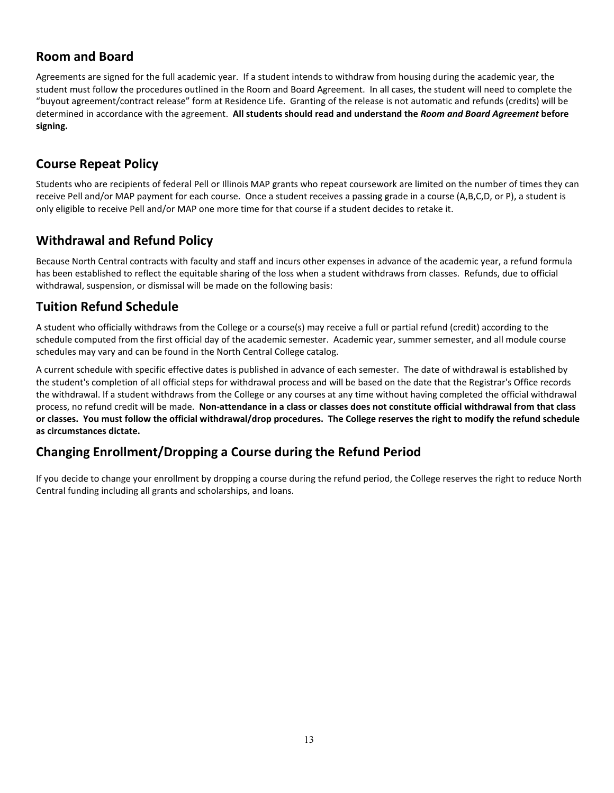## **Room and Board**

Agreements are signed for the full academic year. If a student intends to withdraw from housing during the academic year, the student must follow the procedures outlined in the Room and Board Agreement. In all cases, the student will need to complete the "buyout agreement/contract release" form at Residence Life. Granting of the release is not automatic and refunds (credits) will be determined in accordance with the agreement. **All students should read and understand the** *Room and Board Agreement* **before signing.**

# **Course Repeat Policy**

Students who are recipients of federal Pell or Illinois MAP grants who repeat coursework are limited on the number of times they can receive Pell and/or MAP payment for each course. Once a student receives a passing grade in a course (A,B,C,D, or P), a student is only eligible to receive Pell and/or MAP one more time for that course if a student decides to retake it.

## **Withdrawal and Refund Policy**

Because North Central contracts with faculty and staff and incurs other expenses in advance of the academic year, a refund formula has been established to reflect the equitable sharing of the loss when a student withdraws from classes. Refunds, due to official withdrawal, suspension, or dismissal will be made on the following basis:

## **Tuition Refund Schedule**

A student who officially withdraws from the College or a course(s) may receive a full or partial refund (credit) according to the schedule computed from the first official day of the academic semester. Academic year, summer semester, and all module course schedules may vary and can be found in the North Central College catalog.

A current schedule with specific effective dates is published in advance of each semester. The date of withdrawal is established by the student's completion of all official steps for withdrawal process and will be based on the date that the Registrar's Office records the withdrawal. If a student withdraws from the College or any courses at any time without having completed the official withdrawal process, no refund credit will be made. **Non-attendance in a class or classes does not constitute official withdrawal from that class or classes. You must follow the official withdrawal/drop procedures. The College reserves the right to modify the refund schedule as circumstances dictate.**

## **Changing Enrollment/Dropping a Course during the Refund Period**

If you decide to change your enrollment by dropping a course during the refund period, the College reserves the right to reduce North Central funding including all grants and scholarships, and loans.